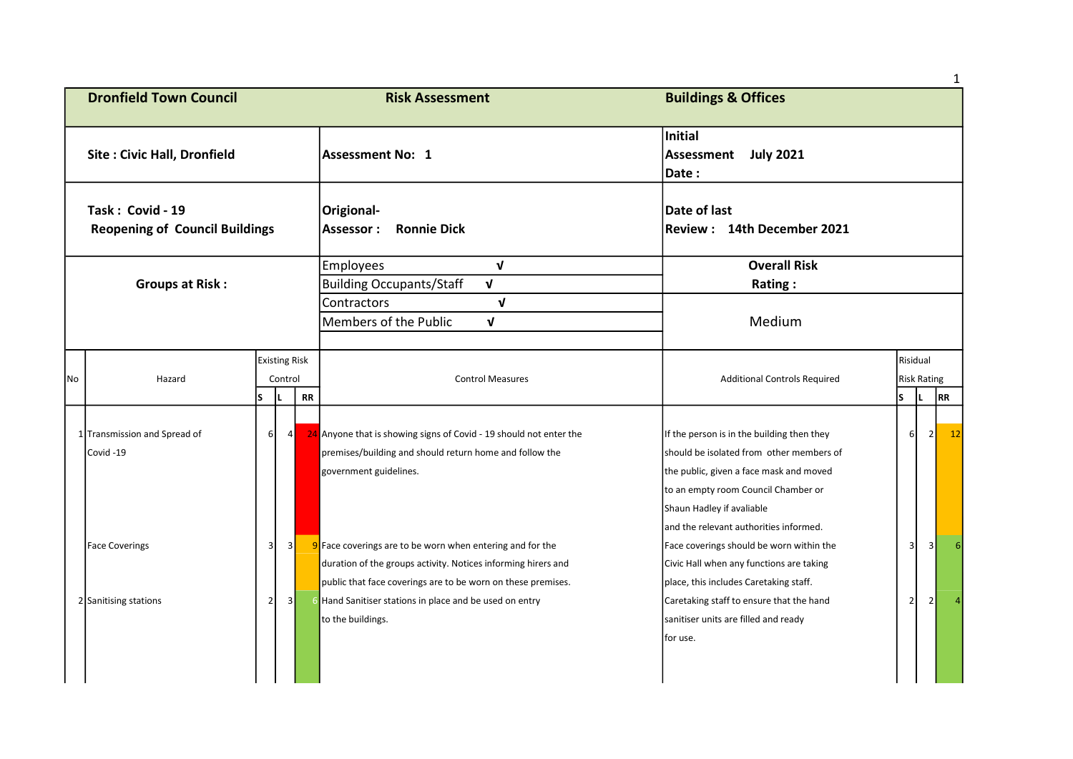|                                                           |                                          |                         |                                 |           |                                                                                                                                                                                              |                                                                                                                                                                                                                                                 |                |                           | $\mathbf{1}$ |
|-----------------------------------------------------------|------------------------------------------|-------------------------|---------------------------------|-----------|----------------------------------------------------------------------------------------------------------------------------------------------------------------------------------------------|-------------------------------------------------------------------------------------------------------------------------------------------------------------------------------------------------------------------------------------------------|----------------|---------------------------|--------------|
|                                                           | <b>Dronfield Town Council</b>            |                         |                                 |           | <b>Risk Assessment</b>                                                                                                                                                                       | <b>Buildings &amp; Offices</b>                                                                                                                                                                                                                  |                |                           |              |
| <b>Site: Civic Hall, Dronfield</b>                        |                                          |                         |                                 |           | Assessment No: 1                                                                                                                                                                             | Initial<br>Assessment July 2021<br>Date:                                                                                                                                                                                                        |                |                           |              |
| Task: Covid - 19<br><b>Reopening of Council Buildings</b> |                                          |                         |                                 |           | Origional-<br><b>Assessor:</b><br><b>Ronnie Dick</b>                                                                                                                                         | Date of last<br>Review: 14th December 2021                                                                                                                                                                                                      |                |                           |              |
| <b>Groups at Risk:</b>                                    |                                          |                         |                                 |           | $\mathbf{v}$<br><b>Employees</b><br>$\mathbf{v}$<br><b>Building Occupants/Staff</b>                                                                                                          | <b>Overall Risk</b><br>Rating:                                                                                                                                                                                                                  |                |                           |              |
|                                                           |                                          |                         |                                 |           | Contractors<br>$\mathbf v$<br>Members of the Public<br>$\mathbf{v}$                                                                                                                          | Medium                                                                                                                                                                                                                                          |                |                           |              |
| No                                                        | Hazard                                   | lS.                     | <b>Existing Risk</b><br>Control | <b>RR</b> | <b>Control Measures</b>                                                                                                                                                                      | <b>Additional Controls Required</b>                                                                                                                                                                                                             | Risidual<br>ls | <b>Risk Rating</b><br>IL. | RR           |
|                                                           | 1 Transmission and Spread of<br>Covid-19 | $6 \mid$                | 4                               |           | 24 Anyone that is showing signs of Covid - 19 should not enter the<br>premises/building and should return home and follow the<br>government guidelines.                                      | If the person is in the building then they<br>should be isolated from other members of<br>the public, given a face mask and moved<br>to an empty room Council Chamber or<br>Shaun Hadley if avaliable<br>and the relevant authorities informed. | 6              | $\overline{2}$            | 12           |
|                                                           | <b>Face Coverings</b>                    | $\overline{\mathbf{3}}$ | $\vert$ 3                       |           | $9$ Face coverings are to be worn when entering and for the<br>duration of the groups activity. Notices informing hirers and<br>public that face coverings are to be worn on these premises. | Face coverings should be worn within the<br>Civic Hall when any functions are taking<br>place, this includes Caretaking staff.                                                                                                                  | 3              | $\overline{3}$            |              |
|                                                           | 2 Sanitising stations                    | 2 <sub>1</sub>          | 3                               |           | 6 Hand Sanitiser stations in place and be used on entry<br>to the buildings.                                                                                                                 | Caretaking staff to ensure that the hand<br>sanitiser units are filled and ready<br>for use.                                                                                                                                                    | $\overline{2}$ | $\overline{2}$            |              |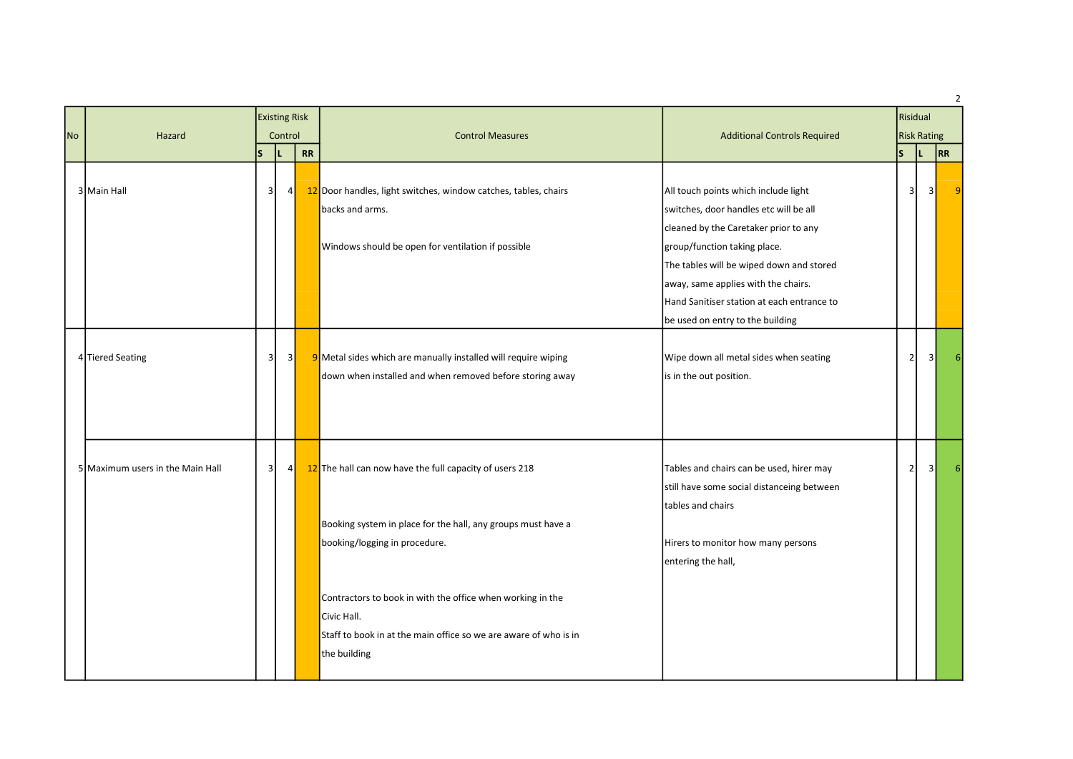| <b>No</b> | Hazard                           |                | Control        |    |                                                                                                                                                               |                                                                                                                                                                                                                                                                                                                              | <b>Existing Risk</b> |     | <b>Control Measures</b> | <b>Additional Controls Required</b> | Risidual<br><b>Risk Rating</b> |  |  | $\overline{2}$ |
|-----------|----------------------------------|----------------|----------------|----|---------------------------------------------------------------------------------------------------------------------------------------------------------------|------------------------------------------------------------------------------------------------------------------------------------------------------------------------------------------------------------------------------------------------------------------------------------------------------------------------------|----------------------|-----|-------------------------|-------------------------------------|--------------------------------|--|--|----------------|
|           |                                  | ١s             |                | RR |                                                                                                                                                               |                                                                                                                                                                                                                                                                                                                              | s                    | ΙL. | RR                      |                                     |                                |  |  |                |
|           | 3 Main Hall                      | $\vert$ 3      | 4 <sup>1</sup> |    | 12 Door handles, light switches, window catches, tables, chairs<br>backs and arms.<br>Windows should be open for ventilation if possible                      | All touch points which include light<br>switches, door handles etc will be all<br>cleaned by the Caretaker prior to any<br>group/function taking place.<br>The tables will be wiped down and stored<br>away, same applies with the chairs.<br>Hand Sanitiser station at each entrance to<br>be used on entry to the building | 3                    |     | 3                       | 9                                   |                                |  |  |                |
|           | 4 Tiered Seating                 | -3 I           | 3              |    | 9 Metal sides which are manually installed will require wiping<br>down when installed and when removed before storing away                                    | Wipe down all metal sides when seating<br>is in the out position.                                                                                                                                                                                                                                                            | $\overline{2}$       |     | $\overline{3}$          | 6                                   |                                |  |  |                |
|           | 5 Maximum users in the Main Hall | 3 <sup>1</sup> | 4 <sup>1</sup> |    | 12 The hall can now have the full capacity of users 218<br>Booking system in place for the hall, any groups must have a<br>booking/logging in procedure.      | Tables and chairs can be used, hirer may<br>still have some social distanceing between<br>tables and chairs<br>Hirers to monitor how many persons<br>entering the hall,                                                                                                                                                      | $\overline{2}$       |     | 3 <sup>1</sup>          | 6                                   |                                |  |  |                |
|           |                                  |                |                |    | Contractors to book in with the office when working in the<br>Civic Hall.<br>Staff to book in at the main office so we are aware of who is in<br>the building |                                                                                                                                                                                                                                                                                                                              |                      |     |                         |                                     |                                |  |  |                |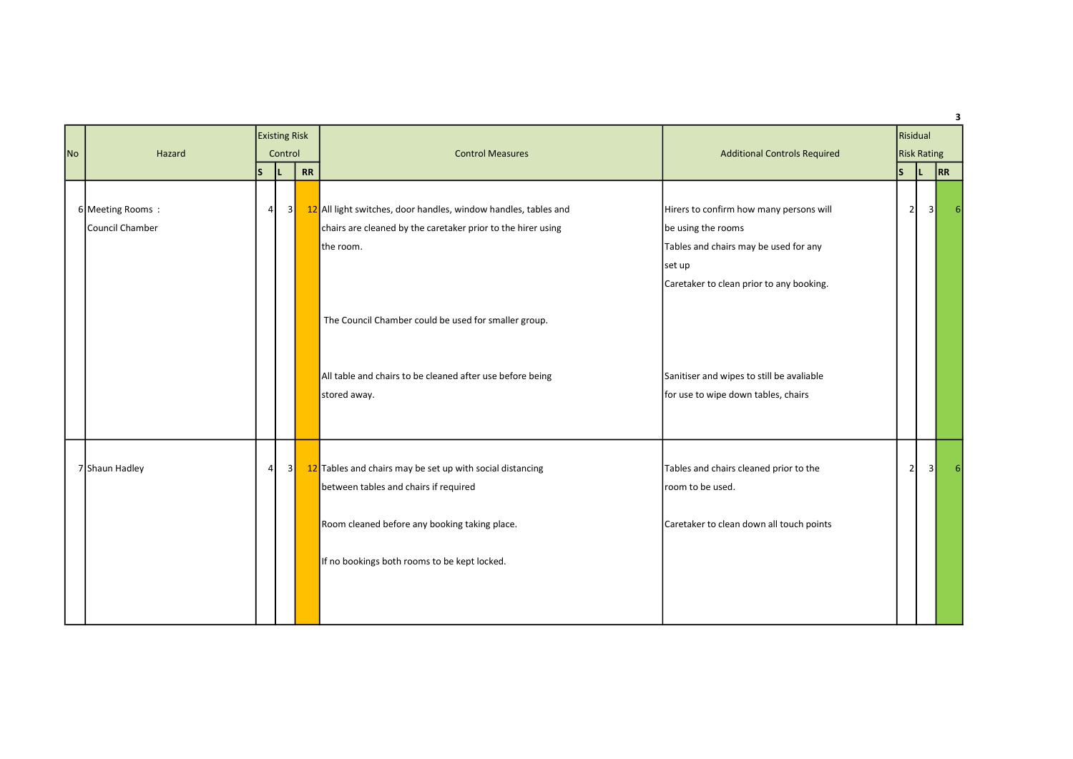| <b>No</b> | Hazard                              | <b>Existing Risk</b><br>Control |    |           | <b>Control Measures</b>                                                                                                                                                                                                                                                           | <b>Additional Controls Required</b>                                                                                                                                                                                                              | Risidual<br><b>Risk Rating</b> |                |    |
|-----------|-------------------------------------|---------------------------------|----|-----------|-----------------------------------------------------------------------------------------------------------------------------------------------------------------------------------------------------------------------------------------------------------------------------------|--------------------------------------------------------------------------------------------------------------------------------------------------------------------------------------------------------------------------------------------------|--------------------------------|----------------|----|
|           |                                     | ls.                             | IL | <b>RR</b> |                                                                                                                                                                                                                                                                                   |                                                                                                                                                                                                                                                  | s                              |                | RR |
|           | 6 Meeting Rooms:<br>Council Chamber | $\vert$                         | 3  |           | 12 All light switches, door handles, window handles, tables and<br>chairs are cleaned by the caretaker prior to the hirer using<br>the room.<br>The Council Chamber could be used for smaller group.<br>All table and chairs to be cleaned after use before being<br>stored away. | Hirers to confirm how many persons will<br>be using the rooms<br>Tables and chairs may be used for any<br>set up<br>Caretaker to clean prior to any booking.<br>Sanitiser and wipes to still be avaliable<br>for use to wipe down tables, chairs | $\overline{2}$                 | 31             |    |
|           | 7 Shaun Hadley                      | $\vert$                         | 3  |           | 12 Tables and chairs may be set up with social distancing<br>between tables and chairs if required<br>Room cleaned before any booking taking place.<br>If no bookings both rooms to be kept locked.                                                                               | Tables and chairs cleaned prior to the<br>room to be used.<br>Caretaker to clean down all touch points                                                                                                                                           | 2                              | 3 <sup>1</sup> |    |

 $\overline{\mathbf{3}}$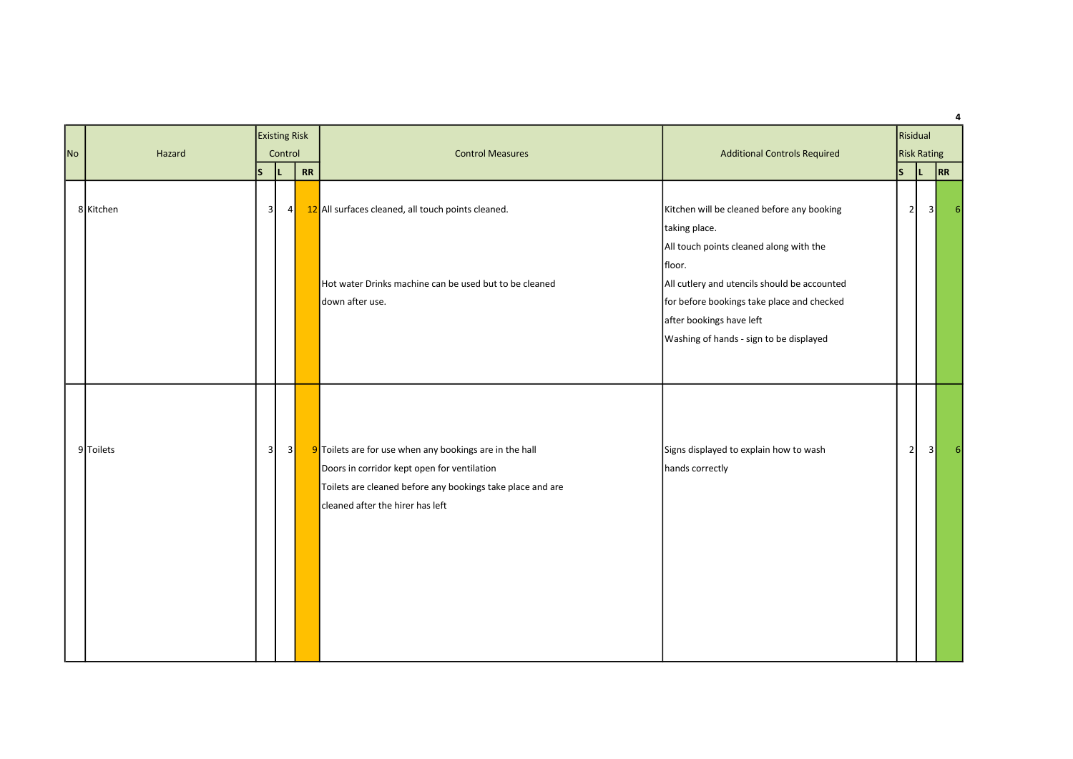| <b>No</b> | Hazard    | Control        |     | <b>Existing Risk</b>     |                                                                                                                                                                                                          |                                                                                                                                                                                                                                                                                       |   |                | <b>Control Measures</b> | <b>Additional Controls Required</b> | Risidual<br><b>Risk Rating</b> |  |  |  |
|-----------|-----------|----------------|-----|--------------------------|----------------------------------------------------------------------------------------------------------------------------------------------------------------------------------------------------------|---------------------------------------------------------------------------------------------------------------------------------------------------------------------------------------------------------------------------------------------------------------------------------------|---|----------------|-------------------------|-------------------------------------|--------------------------------|--|--|--|
|           |           | ls.            | IL. | $\overline{\mathsf{RR}}$ |                                                                                                                                                                                                          |                                                                                                                                                                                                                                                                                       | s | ΙL             |                         | RR                                  |                                |  |  |  |
|           | 8 Kitchen | 3 <sup>1</sup> | 4   |                          | 12 All surfaces cleaned, all touch points cleaned.<br>Hot water Drinks machine can be used but to be cleaned<br>down after use.                                                                          | Kitchen will be cleaned before any booking<br>taking place.<br>All touch points cleaned along with the<br>floor.<br>All cutlery and utencils should be accounted<br>for before bookings take place and checked<br>after bookings have left<br>Washing of hands - sign to be displayed |   | 2              | 3 <sup>1</sup>          |                                     |                                |  |  |  |
|           | 9 Toilets | 3 <sup>1</sup> | 3   |                          | 9 Toilets are for use when any bookings are in the hall<br>Doors in corridor kept open for ventilation<br>Toilets are cleaned before any bookings take place and are<br>cleaned after the hirer has left | Signs displayed to explain how to wash<br>hands correctly                                                                                                                                                                                                                             |   | $\overline{2}$ | $\overline{\mathbf{3}}$ |                                     |                                |  |  |  |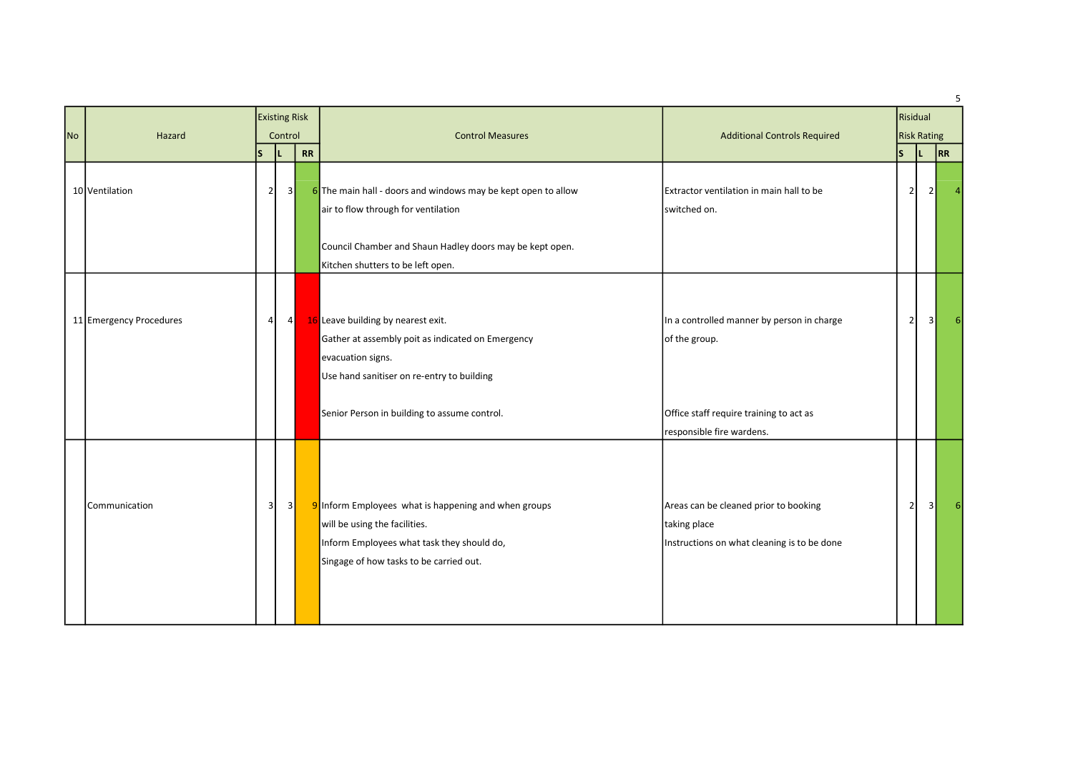| <b>No</b> | Hazard                  | <b>Existing Risk</b><br>Control |                       |    |                                                                                                                                                                                                       |                                                                                                      | <b>Control Measures</b> | <b>Additional Controls Required</b> | Risidual<br><b>Risk Rating</b> |  |  |
|-----------|-------------------------|---------------------------------|-----------------------|----|-------------------------------------------------------------------------------------------------------------------------------------------------------------------------------------------------------|------------------------------------------------------------------------------------------------------|-------------------------|-------------------------------------|--------------------------------|--|--|
|           | 10 Ventilation          | ls<br>$\overline{2}$            | IL.<br>3 <sup>1</sup> | RR | 6 The main hall - doors and windows may be kept open to allow<br>air to flow through for ventilation<br>Council Chamber and Shaun Hadley doors may be kept open.<br>Kitchen shutters to be left open. | Extractor ventilation in main hall to be<br>switched on.                                             | ls.<br>$\overline{2}$   | RR<br>21                            |                                |  |  |
|           | 11 Emergency Procedures | 4                               | $4\vert$              |    | 16 Leave building by nearest exit.<br>Gather at assembly poit as indicated on Emergency<br>evacuation signs.<br>Use hand sanitiser on re-entry to building                                            | In a controlled manner by person in charge<br>of the group.                                          | $\overline{2}$          | 31                                  |                                |  |  |
|           |                         |                                 |                       |    | Senior Person in building to assume control.                                                                                                                                                          | Office staff require training to act as<br>responsible fire wardens.                                 |                         |                                     |                                |  |  |
|           | Communication           | $\overline{\mathbf{3}}$         | 3                     |    | 9 Inform Employees what is happening and when groups<br>will be using the facilities.<br>Inform Employees what task they should do,<br>Singage of how tasks to be carried out.                        | Areas can be cleaned prior to booking<br>taking place<br>Instructions on what cleaning is to be done | $\overline{2}$          | 3 <sup>1</sup>                      |                                |  |  |

5